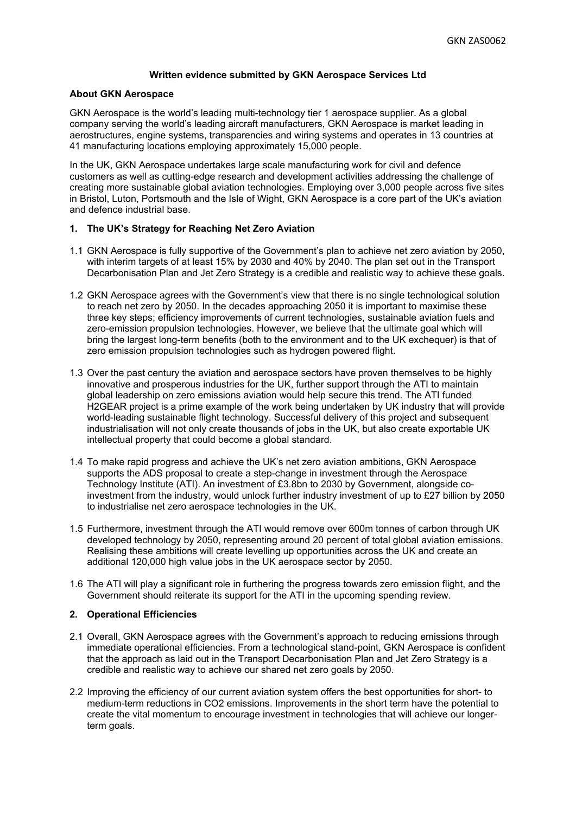## **Written evidence submitted by GKN Aerospace Services Ltd**

#### **About GKN Aerospace**

GKN Aerospace is the world's leading multi-technology tier 1 aerospace supplier. As a global company serving the world's leading aircraft manufacturers, GKN Aerospace is market leading in aerostructures, engine systems, transparencies and wiring systems and operates in 13 countries at 41 manufacturing locations employing approximately 15,000 people.

In the UK, GKN Aerospace undertakes large scale manufacturing work for civil and defence customers as well as cutting-edge research and development activities addressing the challenge of creating more sustainable global aviation technologies. Employing over 3,000 people across five sites in Bristol, Luton, Portsmouth and the Isle of Wight, GKN Aerospace is a core part of the UK's aviation and defence industrial base.

# **1. The UK's Strategy for Reaching Net Zero Aviation**

- 1.1 GKN Aerospace is fully supportive of the Government's plan to achieve net zero aviation by 2050, with interim targets of at least 15% by 2030 and 40% by 2040. The plan set out in the Transport Decarbonisation Plan and Jet Zero Strategy is a credible and realistic way to achieve these goals.
- 1.2 GKN Aerospace agrees with the Government's view that there is no single technological solution to reach net zero by 2050. In the decades approaching 2050 it is important to maximise these three key steps; efficiency improvements of current technologies, sustainable aviation fuels and zero-emission propulsion technologies. However, we believe that the ultimate goal which will bring the largest long-term benefits (both to the environment and to the UK exchequer) is that of zero emission propulsion technologies such as hydrogen powered flight.
- 1.3 Over the past century the aviation and aerospace sectors have proven themselves to be highly innovative and prosperous industries for the UK, further support through the ATI to maintain global leadership on zero emissions aviation would help secure this trend. The ATI funded H2GEAR project is a prime example of the work being undertaken by UK industry that will provide world-leading sustainable flight technology. Successful delivery of this project and subsequent industrialisation will not only create thousands of jobs in the UK, but also create exportable UK intellectual property that could become a global standard.
- 1.4 To make rapid progress and achieve the UK's net zero aviation ambitions, GKN Aerospace supports the ADS proposal to create a step-change in investment through the Aerospace Technology Institute (ATI). An investment of £3.8bn to 2030 by Government, alongside coinvestment from the industry, would unlock further industry investment of up to £27 billion by 2050 to industrialise net zero aerospace technologies in the UK.
- 1.5 Furthermore, investment through the ATI would remove over 600m tonnes of carbon through UK developed technology by 2050, representing around 20 percent of total global aviation emissions. Realising these ambitions will create levelling up opportunities across the UK and create an additional 120,000 high value jobs in the UK aerospace sector by 2050.
- 1.6 The ATI will play a significant role in furthering the progress towards zero emission flight, and the Government should reiterate its support for the ATI in the upcoming spending review.

#### **2. Operational Efficiencies**

- 2.1 Overall, GKN Aerospace agrees with the Government's approach to reducing emissions through immediate operational efficiencies. From a technological stand-point, GKN Aerospace is confident that the approach as laid out in the Transport Decarbonisation Plan and Jet Zero Strategy is a credible and realistic way to achieve our shared net zero goals by 2050.
- 2.2 Improving the efficiency of our current aviation system offers the best opportunities for short- to medium-term reductions in CO2 emissions. Improvements in the short term have the potential to create the vital momentum to encourage investment in technologies that will achieve our longerterm goals.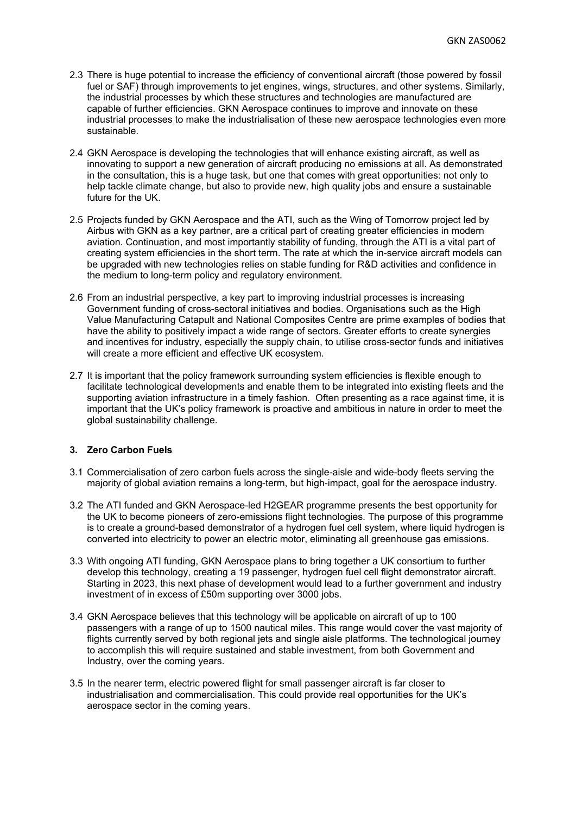- 2.3 There is huge potential to increase the efficiency of conventional aircraft (those powered by fossil fuel or SAF) through improvements to jet engines, wings, structures, and other systems. Similarly, the industrial processes by which these structures and technologies are manufactured are capable of further efficiencies. GKN Aerospace continues to improve and innovate on these industrial processes to make the industrialisation of these new aerospace technologies even more sustainable.
- 2.4 GKN Aerospace is developing the technologies that will enhance existing aircraft, as well as innovating to support a new generation of aircraft producing no emissions at all. As demonstrated in the consultation, this is a huge task, but one that comes with great opportunities: not only to help tackle climate change, but also to provide new, high quality jobs and ensure a sustainable future for the UK.
- 2.5 Projects funded by GKN Aerospace and the ATI, such as the Wing of Tomorrow project led by Airbus with GKN as a key partner, are a critical part of creating greater efficiencies in modern aviation. Continuation, and most importantly stability of funding, through the ATI is a vital part of creating system efficiencies in the short term. The rate at which the in-service aircraft models can be upgraded with new technologies relies on stable funding for R&D activities and confidence in the medium to long-term policy and regulatory environment.
- 2.6 From an industrial perspective, a key part to improving industrial processes is increasing Government funding of cross-sectoral initiatives and bodies. Organisations such as the High Value Manufacturing Catapult and National Composites Centre are prime examples of bodies that have the ability to positively impact a wide range of sectors. Greater efforts to create synergies and incentives for industry, especially the supply chain, to utilise cross-sector funds and initiatives will create a more efficient and effective UK ecosystem.
- 2.7 It is important that the policy framework surrounding system efficiencies is flexible enough to facilitate technological developments and enable them to be integrated into existing fleets and the supporting aviation infrastructure in a timely fashion. Often presenting as a race against time, it is important that the UK's policy framework is proactive and ambitious in nature in order to meet the global sustainability challenge.

## **3. Zero Carbon Fuels**

- 3.1 Commercialisation of zero carbon fuels across the single-aisle and wide-body fleets serving the majority of global aviation remains a long-term, but high-impact, goal for the aerospace industry.
- 3.2 The ATI funded and GKN Aerospace-led H2GEAR programme presents the best opportunity for the UK to become pioneers of zero-emissions flight technologies. The purpose of this programme is to create a ground-based demonstrator of a hydrogen fuel cell system, where liquid hydrogen is converted into electricity to power an electric motor, eliminating all greenhouse gas emissions.
- 3.3 With ongoing ATI funding, GKN Aerospace plans to bring together a UK consortium to further develop this technology, creating a 19 passenger, hydrogen fuel cell flight demonstrator aircraft. Starting in 2023, this next phase of development would lead to a further government and industry investment of in excess of £50m supporting over 3000 jobs.
- 3.4 GKN Aerospace believes that this technology will be applicable on aircraft of up to 100 passengers with a range of up to 1500 nautical miles. This range would cover the vast majority of flights currently served by both regional jets and single aisle platforms. The technological journey to accomplish this will require sustained and stable investment, from both Government and Industry, over the coming years.
- 3.5 In the nearer term, electric powered flight for small passenger aircraft is far closer to industrialisation and commercialisation. This could provide real opportunities for the UK's aerospace sector in the coming years.